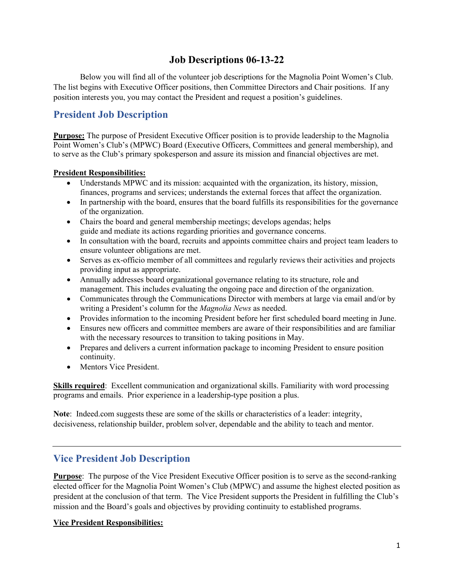# **Job Descriptions 06-13-22**

Below you will find all of the volunteer job descriptions for the Magnolia Point Women's Club. The list begins with Executive Officer positions, then Committee Directors and Chair positions. If any position interests you, you may contact the President and request a position's guidelines.

# **President Job Description**

**Purpose:** The purpose of President Executive Officer position is to provide leadership to the Magnolia Point Women's Club's (MPWC) Board (Executive Officers, Committees and general membership), and to serve as the Club's primary spokesperson and assure its mission and financial objectives are met.

## **President Responsibilities:**

- Understands MPWC and its mission: acquainted with the organization, its history, mission, finances, programs and services; understands the external forces that affect the organization.
- In partnership with the board, ensures that the board fulfills its responsibilities for the governance of the organization.
- Chairs the board and general membership meetings; develops agendas; helps guide and mediate its actions regarding priorities and governance concerns.
- In consultation with the board, recruits and appoints committee chairs and project team leaders to ensure volunteer obligations are met.
- Serves as ex-officio member of all committees and regularly reviews their activities and projects providing input as appropriate.
- Annually addresses board organizational governance relating to its structure, role and management. This includes evaluating the ongoing pace and direction of the organization.
- Communicates through the Communications Director with members at large via email and/or by writing a President's column for the *Magnolia News* as needed.
- Provides information to the incoming President before her first scheduled board meeting in June.
- Ensures new officers and committee members are aware of their responsibilities and are familiar with the necessary resources to transition to taking positions in May.
- Prepares and delivers a current information package to incoming President to ensure position continuity.
- Mentors Vice President.

**Skills required**: Excellent communication and organizational skills. Familiarity with word processing programs and emails. Prior experience in a leadership-type position a plus.

**Note**: Indeed.com suggests these are some of the skills or characteristics of a leader: integrity, decisiveness, relationship builder, problem solver, dependable and the ability to teach and mentor.

# **Vice President Job Description**

**Purpose**: The purpose of the Vice President Executive Officer position is to serve as the second-ranking elected officer for the Magnolia Point Women's Club (MPWC) and assume the highest elected position as president at the conclusion of that term. The Vice President supports the President in fulfilling the Club's mission and the Board's goals and objectives by providing continuity to established programs.

## **Vice President Responsibilities:**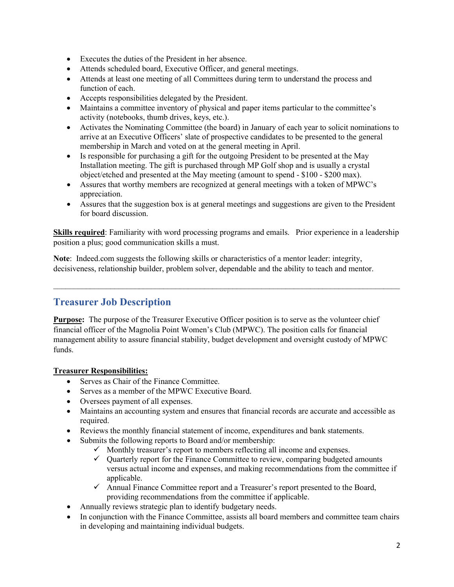- Executes the duties of the President in her absence.
- Attends scheduled board, Executive Officer, and general meetings.
- Attends at least one meeting of all Committees during term to understand the process and function of each.
- Accepts responsibilities delegated by the President.
- Maintains a committee inventory of physical and paper items particular to the committee's activity (notebooks, thumb drives, keys, etc.).
- Activates the Nominating Committee (the board) in January of each year to solicit nominations to arrive at an Executive Officers' slate of prospective candidates to be presented to the general membership in March and voted on at the general meeting in April.
- Is responsible for purchasing a gift for the outgoing President to be presented at the May Installation meeting. The gift is purchased through MP Golf shop and is usually a crystal object/etched and presented at the May meeting (amount to spend - \$100 - \$200 max).
- Assures that worthy members are recognized at general meetings with a token of MPWC's appreciation.
- Assures that the suggestion box is at general meetings and suggestions are given to the President for board discussion.

**Skills required**: Familiarity with word processing programs and emails. Prior experience in a leadership position a plus; good communication skills a must.

 $\_$  , and the contribution of the contribution of the contribution of the contribution of  $\mathcal{L}_\text{max}$ 

**Note**: Indeed.com suggests the following skills or characteristics of a mentor leader: integrity, decisiveness, relationship builder, problem solver, dependable and the ability to teach and mentor.

# **Treasurer Job Description**

**Purpose:** The purpose of the Treasurer Executive Officer position is to serve as the volunteer chief financial officer of the Magnolia Point Women's Club (MPWC). The position calls for financial management ability to assure financial stability, budget development and oversight custody of MPWC funds.

## **Treasurer Responsibilities:**

- Serves as Chair of the Finance Committee.
- Serves as a member of the MPWC Executive Board.
- Oversees payment of all expenses.
- Maintains an accounting system and ensures that financial records are accurate and accessible as required.
- Reviews the monthly financial statement of income, expenditures and bank statements.
- Submits the following reports to Board and/or membership:
	- $\checkmark$  Monthly treasurer's report to members reflecting all income and expenses.
	- $\checkmark$  Quarterly report for the Finance Committee to review, comparing budgeted amounts versus actual income and expenses, and making recommendations from the committee if applicable.
	- $\checkmark$  Annual Finance Committee report and a Treasurer's report presented to the Board, providing recommendations from the committee if applicable.
- Annually reviews strategic plan to identify budgetary needs.
- In conjunction with the Finance Committee, assists all board members and committee team chairs in developing and maintaining individual budgets.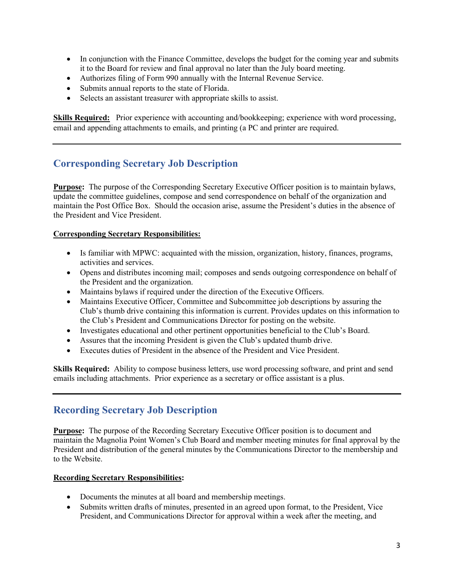- In conjunction with the Finance Committee, develops the budget for the coming year and submits it to the Board for review and final approval no later than the July board meeting.
- Authorizes filing of Form 990 annually with the Internal Revenue Service.
- Submits annual reports to the state of Florida.
- Selects an assistant treasurer with appropriate skills to assist.

**Skills Required:** Prior experience with accounting and/bookkeeping; experience with word processing, email and appending attachments to emails, and printing (a PC and printer are required.

## **Corresponding Secretary Job Description**

**Purpose:** The purpose of the Corresponding Secretary Executive Officer position is to maintain bylaws, update the committee guidelines, compose and send correspondence on behalf of the organization and maintain the Post Office Box. Should the occasion arise, assume the President's duties in the absence of the President and Vice President.

#### **Corresponding Secretary Responsibilities:**

- Is familiar with MPWC: acquainted with the mission, organization, history, finances, programs, activities and services.
- Opens and distributes incoming mail; composes and sends outgoing correspondence on behalf of the President and the organization.
- Maintains bylaws if required under the direction of the Executive Officers.
- Maintains Executive Officer, Committee and Subcommittee job descriptions by assuring the Club's thumb drive containing this information is current. Provides updates on this information to the Club's President and Communications Director for posting on the website.
- Investigates educational and other pertinent opportunities beneficial to the Club's Board.
- Assures that the incoming President is given the Club's updated thumb drive.
- Executes duties of President in the absence of the President and Vice President.

**Skills Required:** Ability to compose business letters, use word processing software, and print and send emails including attachments. Prior experience as a secretary or office assistant is a plus.

## **Recording Secretary Job Description**

**Purpose:** The purpose of the Recording Secretary Executive Officer position is to document and maintain the Magnolia Point Women's Club Board and member meeting minutes for final approval by the President and distribution of the general minutes by the Communications Director to the membership and to the Website.

#### **Recording Secretary Responsibilities:**

- Documents the minutes at all board and membership meetings.
- Submits written drafts of minutes, presented in an agreed upon format, to the President, Vice President, and Communications Director for approval within a week after the meeting, and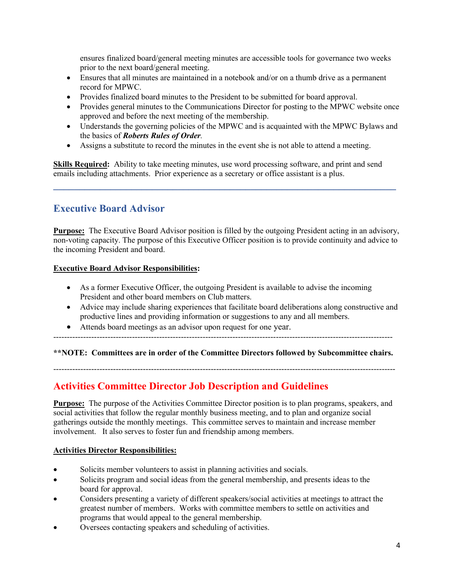ensures finalized board/general meeting minutes are accessible tools for governance two weeks prior to the next board/general meeting.

- Ensures that all minutes are maintained in a notebook and/or on a thumb drive as a permanent record for MPWC.
- Provides finalized board minutes to the President to be submitted for board approval.
- Provides general minutes to the Communications Director for posting to the MPWC website once approved and before the next meeting of the membership.
- Understands the governing policies of the MPWC and is acquainted with the MPWC Bylaws and the basics of *Roberts Rules of Order.*
- Assigns a substitute to record the minutes in the event she is not able to attend a meeting.

**Skills Required:** Ability to take meeting minutes, use word processing software, and print and send emails including attachments. Prior experience as a secretary or office assistant is a plus.

**\_\_\_\_\_\_\_\_\_\_\_\_\_\_\_\_\_\_\_\_\_\_\_\_\_\_\_\_\_\_\_\_\_\_\_\_\_\_\_\_\_\_\_\_\_\_\_\_\_\_\_\_\_\_\_\_\_\_\_\_\_\_\_\_\_\_**

# **Executive Board Advisor**

**Purpose:** The Executive Board Advisor position is filled by the outgoing President acting in an advisory, non-voting capacity. The purpose of this Executive Officer position is to provide continuity and advice to the incoming President and board.

#### **Executive Board Advisor Responsibilities:**

- As a former Executive Officer, the outgoing President is available to advise the incoming President and other board members on Club matters.
- Advice may include sharing experiences that facilitate board deliberations along constructive and productive lines and providing information or suggestions to any and all members.
- Attends board meetings as an advisor upon request for one year.
- -----------------------------------------------------------------------------------------------------------------------------

## **\*\*NOTE: Committees are in order of the Committee Directors followed by Subcommittee chairs.**

------------------------------------------------------------------------------------------------------------------------------

# **Activities Committee Director Job Description and Guidelines**

**Purpose:** The purpose of the Activities Committee Director position is to plan programs, speakers, and social activities that follow the regular monthly business meeting, and to plan and organize social gatherings outside the monthly meetings. This committee serves to maintain and increase member involvement. It also serves to foster fun and friendship among members.

## **Activities Director Responsibilities:**

- Solicits member volunteers to assist in planning activities and socials.
- Solicits program and social ideas from the general membership, and presents ideas to the board for approval.
- Considers presenting a variety of different speakers/social activities at meetings to attract the greatest number of members. Works with committee members to settle on activities and programs that would appeal to the general membership.
- Oversees contacting speakers and scheduling of activities.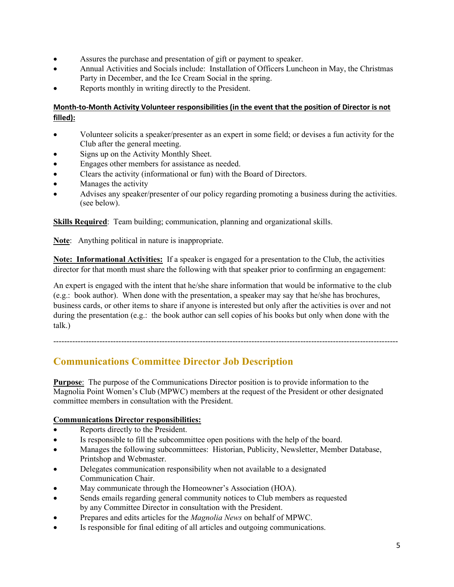- Assures the purchase and presentation of gift or payment to speaker.
- Annual Activities and Socials include: Installation of Officers Luncheon in May, the Christmas Party in December, and the Ice Cream Social in the spring.
- Reports monthly in writing directly to the President.

## **Month-to-Month Activity Volunteer responsibilities (in the event that the position of Director is not filled):**

- Volunteer solicits a speaker/presenter as an expert in some field; or devises a fun activity for the Club after the general meeting.
- Signs up on the Activity Monthly Sheet.
- Engages other members for assistance as needed.
- Clears the activity (informational or fun) with the Board of Directors.
- Manages the activity
- Advises any speaker/presenter of our policy regarding promoting a business during the activities. (see below).

**Skills Required**: Team building; communication, planning and organizational skills.

**Note**: Anything political in nature is inappropriate.

**Note: Informational Activities:** If a speaker is engaged for a presentation to the Club, the activities director for that month must share the following with that speaker prior to confirming an engagement:

An expert is engaged with the intent that he/she share information that would be informative to the club (e.g.: book author). When done with the presentation, a speaker may say that he/she has brochures, business cards, or other items to share if anyone is interested but only after the activities is over and not during the presentation (e.g.: the book author can sell copies of his books but only when done with the talk.)

-------------------------------------------------------------------------------------------------------------------------------

# **Communications Committee Director Job Description**

**Purpose**: The purpose of the Communications Director position is to provide information to the Magnolia Point Women's Club (MPWC) members at the request of the President or other designated committee members in consultation with the President.

## **Communications Director responsibilities:**

- Reports directly to the President.
- Is responsible to fill the subcommittee open positions with the help of the board.
- Manages the following subcommittees: Historian, Publicity, Newsletter, Member Database, Printshop and Webmaster.
- Delegates communication responsibility when not available to a designated Communication Chair.
- May communicate through the Homeowner's Association (HOA).
- Sends emails regarding general community notices to Club members as requested by any Committee Director in consultation with the President.
- Prepares and edits articles for the *Magnolia News* on behalf of MPWC.
- Is responsible for final editing of all articles and outgoing communications.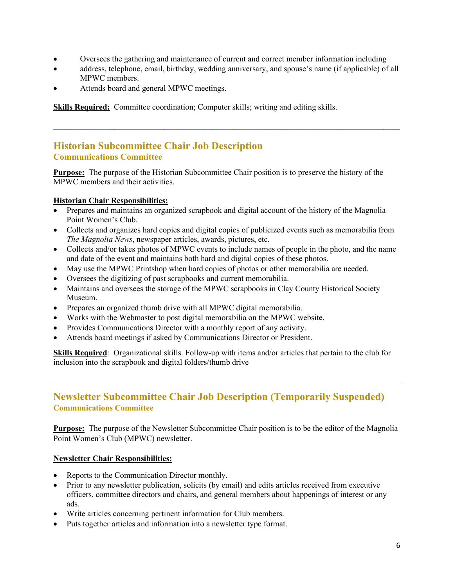- Oversees the gathering and maintenance of current and correct member information including
- address, telephone, email, birthday, wedding anniversary, and spouse's name (if applicable) of all MPWC members.

 $\_$  , and the contribution of the contribution of the contribution of the contribution of  $\mathcal{L}_\text{max}$ 

Attends board and general MPWC meetings.

**Skills Required:** Committee coordination; Computer skills; writing and editing skills.

## **Historian Subcommittee Chair Job Description Communications Committee**

**Purpose:**The purpose of the Historian Subcommittee Chair position is to preserve the history of the MPWC members and their activities.

#### **Historian Chair Responsibilities:**

- Prepares and maintains an organized scrapbook and digital account of the history of the Magnolia Point Women's Club.
- Collects and organizes hard copies and digital copies of publicized events such as memorabilia from *The Magnolia News*, newspaper articles, awards, pictures, etc.
- Collects and/or takes photos of MPWC events to include names of people in the photo, and the name and date of the event and maintains both hard and digital copies of these photos.
- May use the MPWC Printshop when hard copies of photos or other memorabilia are needed.
- Oversees the digitizing of past scrapbooks and current memorabilia.
- Maintains and oversees the storage of the MPWC scrapbooks in Clay County Historical Society Museum.
- Prepares an organized thumb drive with all MPWC digital memorabilia.
- Works with the Webmaster to post digital memorabilia on the MPWC website.
- Provides Communications Director with a monthly report of any activity.
- Attends board meetings if asked by Communications Director or President.

**Skills Required**: Organizational skills. Follow-up with items and/or articles that pertain to the club for inclusion into the scrapbook and digital folders/thumb drive

## **Newsletter Subcommittee Chair Job Description (Temporarily Suspended) Communications Committee**

**Purpose:** The purpose of the Newsletter Subcommittee Chair position is to be the editor of the Magnolia Point Women's Club (MPWC) newsletter.

#### **Newsletter Chair Responsibilities:**

- Reports to the Communication Director monthly.
- Prior to any newsletter publication, solicits (by email) and edits articles received from executive officers, committee directors and chairs, and general members about happenings of interest or any ads.
- Write articles concerning pertinent information for Club members.
- Puts together articles and information into a newsletter type format.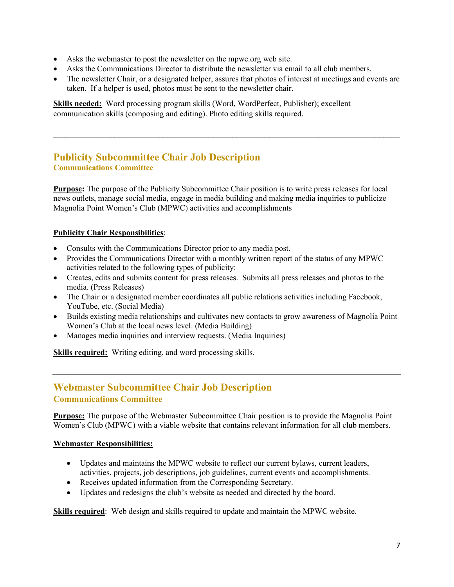- Asks the webmaster to post the newsletter on the mpwc.org web site.
- Asks the Communications Director to distribute the newsletter via email to all club members.
- The newsletter Chair, or a designated helper, assures that photos of interest at meetings and events are taken. If a helper is used, photos must be sent to the newsletter chair.

 $\_$  , and the set of the set of the set of the set of the set of the set of the set of the set of the set of the set of the set of the set of the set of the set of the set of the set of the set of the set of the set of th

**Skills needed:** Word processing program skills (Word, WordPerfect, Publisher); excellent communication skills (composing and editing). Photo editing skills required.

## **Publicity Subcommittee Chair Job Description Communications Committee**

**Purpose:** The purpose of the Publicity Subcommittee Chair position is to write press releases for local news outlets, manage social media, engage in media building and making media inquiries to publicize Magnolia Point Women's Club (MPWC) activities and accomplishments

## **Publicity Chair Responsibilities**:

- Consults with the Communications Director prior to any media post.
- Provides the Communications Director with a monthly written report of the status of any MPWC activities related to the following types of publicity:
- Creates, edits and submits content for press releases. Submits all press releases and photos to the media. (Press Releases)
- The Chair or a designated member coordinates all public relations activities including Facebook, YouTube, etc. (Social Media)
- Builds existing media relationships and cultivates new contacts to grow awareness of Magnolia Point Women's Club at the local news level. (Media Building)
- Manages media inquiries and interview requests. (Media Inquiries)

**Skills required:** Writing editing, and word processing skills.

## **Webmaster Subcommittee Chair Job Description Communications Committee**

**Purpose:** The purpose of the Webmaster Subcommittee Chair position is to provide the Magnolia Point Women's Club (MPWC) with a viable website that contains relevant information for all club members.

## **Webmaster Responsibilities:**

- Updates and maintains the MPWC website to reflect our current bylaws, current leaders, activities, projects, job descriptions, job guidelines, current events and accomplishments.
- Receives updated information from the Corresponding Secretary.
- Updates and redesigns the club's website as needed and directed by the board.

**Skills required**: Web design and skills required to update and maintain the MPWC website.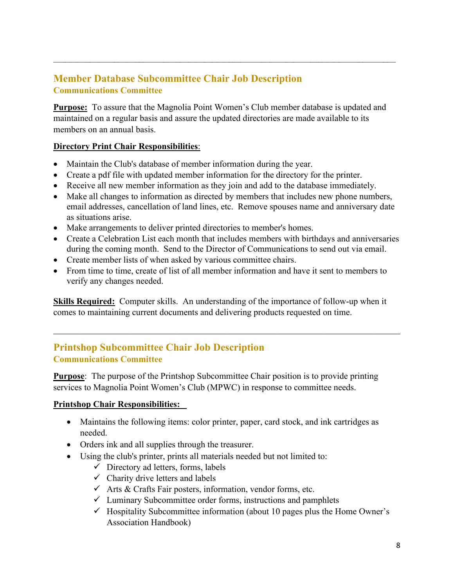# **Member Database Subcommittee Chair Job Description Communications Committee**

**Purpose:** To assure that the Magnolia Point Women's Club member database is updated and maintained on a regular basis and assure the updated directories are made available to its members on an annual basis.

 $\mathcal{L}_\text{max}$  , and the contract of the contract of the contract of the contract of the contract of the contract of

## **Directory Print Chair Responsibilities**:

- Maintain the Club's database of member information during the year.
- Create a pdf file with updated member information for the directory for the printer.
- Receive all new member information as they join and add to the database immediately.
- Make all changes to information as directed by members that includes new phone numbers, email addresses, cancellation of land lines, etc. Remove spouses name and anniversary date as situations arise.
- Make arrangements to deliver printed directories to member's homes.
- Create a Celebration List each month that includes members with birthdays and anniversaries during the coming month. Send to the Director of Communications to send out via email.
- Create member lists of when asked by various committee chairs.
- From time to time, create of list of all member information and have it sent to members to verify any changes needed.

**Skills Required:** Computer skills. An understanding of the importance of follow-up when it comes to maintaining current documents and delivering products requested on time.

# **Printshop Subcommittee Chair Job Description Communications Committee**

**Purpose:** The purpose of the Printshop Subcommittee Chair position is to provide printing services to Magnolia Point Women's Club (MPWC) in response to committee needs.

## **Printshop Chair Responsibilities:**

- Maintains the following items: color printer, paper, card stock, and ink cartridges as needed.
- Orders ink and all supplies through the treasurer.
- Using the club's printer, prints all materials needed but not limited to:
	- $\checkmark$  Directory ad letters, forms, labels
	- $\checkmark$  Charity drive letters and labels
	- $\checkmark$  Arts & Crafts Fair posters, information, vendor forms, etc.
	- $\checkmark$  Luminary Subcommittee order forms, instructions and pamphlets
	- $\checkmark$  Hospitality Subcommittee information (about 10 pages plus the Home Owner's Association Handbook)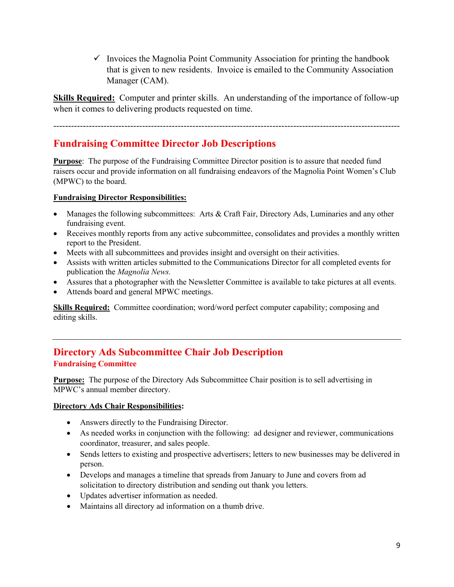$\checkmark$  Invoices the Magnolia Point Community Association for printing the handbook that is given to new residents. Invoice is emailed to the Community Association Manager (CAM).

**Skills Required:** Computer and printer skills. An understanding of the importance of follow-up when it comes to delivering products requested on time.

---------------------------------------------------------------------------------------------------------------------

# **Fundraising Committee Director Job Descriptions**

**Purpose:** The purpose of the Fundraising Committee Director position is to assure that needed fund raisers occur and provide information on all fundraising endeavors of the Magnolia Point Women's Club (MPWC) to the board.

## **Fundraising Director Responsibilities:**

- Manages the following subcommittees: Arts & Craft Fair, Directory Ads, Luminaries and any other fundraising event.
- Receives monthly reports from any active subcommittee, consolidates and provides a monthly written report to the President.
- Meets with all subcommittees and provides insight and oversight on their activities.
- Assists with written articles submitted to the Communications Director for all completed events for publication the *Magnolia News.*
- Assures that a photographer with the Newsletter Committee is available to take pictures at all events.
- Attends board and general MPWC meetings.

**Skills Required:** Committee coordination; word/word perfect computer capability; composing and editing skills.

# **Directory Ads Subcommittee Chair Job Description Fundraising Committee**

**Purpose:** The purpose of the Directory Ads Subcommittee Chair position is to sell advertising in MPWC's annual member directory.

## **Directory Ads Chair Responsibilities:**

- Answers directly to the Fundraising Director.
- As needed works in conjunction with the following: ad designer and reviewer, communications coordinator, treasurer, and sales people.
- Sends letters to existing and prospective advertisers; letters to new businesses may be delivered in person.
- Develops and manages a timeline that spreads from January to June and covers from ad solicitation to directory distribution and sending out thank you letters.
- Updates advertiser information as needed.
- Maintains all directory ad information on a thumb drive.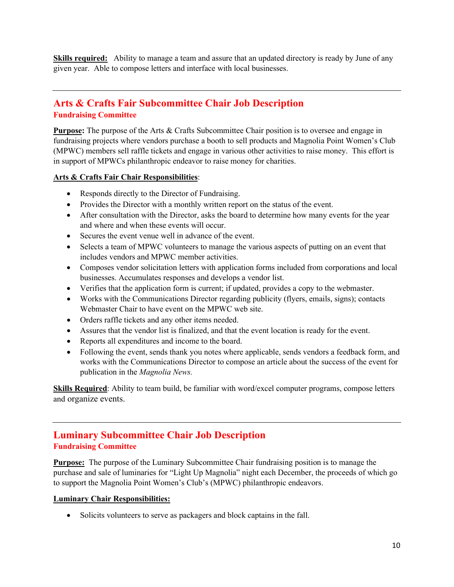**Skills required:** Ability to manage a team and assure that an updated directory is ready by June of any given year. Able to compose letters and interface with local businesses.

## **Arts & Crafts Fair Subcommittee Chair Job Description Fundraising Committee**

**Purpose:** The purpose of the Arts & Crafts Subcommittee Chair position is to oversee and engage in fundraising projects where vendors purchase a booth to sell products and Magnolia Point Women's Club (MPWC) members sell raffle tickets and engage in various other activities to raise money. This effort is in support of MPWCs philanthropic endeavor to raise money for charities.

#### **Arts & Crafts Fair Chair Responsibilities**:

- Responds directly to the Director of Fundraising.
- Provides the Director with a monthly written report on the status of the event.
- After consultation with the Director, asks the board to determine how many events for the year and where and when these events will occur.
- Secures the event venue well in advance of the event.
- Selects a team of MPWC volunteers to manage the various aspects of putting on an event that includes vendors and MPWC member activities.
- Composes vendor solicitation letters with application forms included from corporations and local businesses. Accumulates responses and develops a vendor list.
- Verifies that the application form is current; if updated, provides a copy to the webmaster.
- Works with the Communications Director regarding publicity (flyers, emails, signs); contacts Webmaster Chair to have event on the MPWC web site.
- Orders raffle tickets and any other items needed.
- Assures that the vendor list is finalized, and that the event location is ready for the event.
- Reports all expenditures and income to the board.
- Following the event, sends thank you notes where applicable, sends vendors a feedback form, and works with the Communications Director to compose an article about the success of the event for publication in the *Magnolia News.*

**Skills Required**: Ability to team build, be familiar with word/excel computer programs, compose letters and organize events.

## **Luminary Subcommittee Chair Job Description Fundraising Committee**

**Purpose:** The purpose of the Luminary Subcommittee Chair fundraising position is to manage the purchase and sale of luminaries for "Light Up Magnolia" night each December, the proceeds of which go to support the Magnolia Point Women's Club's (MPWC) philanthropic endeavors.

#### **Luminary Chair Responsibilities:**

• Solicits volunteers to serve as packagers and block captains in the fall.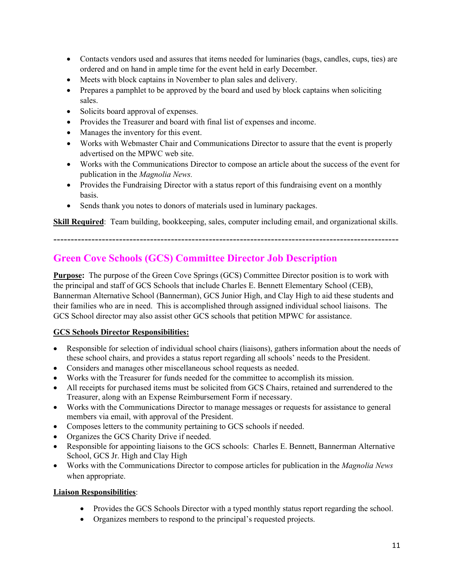- Contacts vendors used and assures that items needed for luminaries (bags, candles, cups, ties) are ordered and on hand in ample time for the event held in early December.
- Meets with block captains in November to plan sales and delivery.
- Prepares a pamphlet to be approved by the board and used by block captains when soliciting sales.
- Solicits board approval of expenses.
- Provides the Treasurer and board with final list of expenses and income.
- Manages the inventory for this event.
- Works with Webmaster Chair and Communications Director to assure that the event is properly advertised on the MPWC web site.
- Works with the Communications Director to compose an article about the success of the event for publication in the *Magnolia News.*
- Provides the Fundraising Director with a status report of this fundraising event on a monthly basis.
- Sends thank you notes to donors of materials used in luminary packages.

**Skill Required**: Team building, bookkeeping, sales, computer including email, and organizational skills.

----------------------------------------------------------------------------------------------------

# **Green Cove Schools (GCS) Committee Director Job Description**

**Purpose:** The purpose of the Green Cove Springs (GCS) Committee Director position is to work with the principal and staff of GCS Schools that include Charles E. Bennett Elementary School (CEB), Bannerman Alternative School (Bannerman), GCS Junior High, and Clay High to aid these students and their families who are in need. This is accomplished through assigned individual school liaisons. The GCS School director may also assist other GCS schools that petition MPWC for assistance.

## **GCS Schools Director Responsibilities:**

- Responsible for selection of individual school chairs (liaisons), gathers information about the needs of these school chairs, and provides a status report regarding all schools' needs to the President.
- Considers and manages other miscellaneous school requests as needed.
- Works with the Treasurer for funds needed for the committee to accomplish its mission.
- All receipts for purchased items must be solicited from GCS Chairs, retained and surrendered to the Treasurer, along with an Expense Reimbursement Form if necessary.
- Works with the Communications Director to manage messages or requests for assistance to general members via email, with approval of the President.
- Composes letters to the community pertaining to GCS schools if needed.
- Organizes the GCS Charity Drive if needed.
- Responsible for appointing liaisons to the GCS schools: Charles E. Bennett, Bannerman Alternative School, GCS Jr. High and Clay High
- Works with the Communications Director to compose articles for publication in the *Magnolia News*  when appropriate.

## **Liaison Responsibilities**:

- Provides the GCS Schools Director with a typed monthly status report regarding the school.
- Organizes members to respond to the principal's requested projects.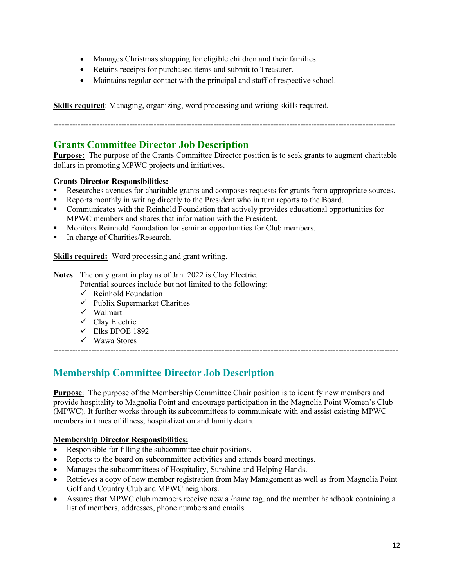- Manages Christmas shopping for eligible children and their families.
- Retains receipts for purchased items and submit to Treasurer.
- Maintains regular contact with the principal and staff of respective school.

**Skills required**: Managing, organizing, word processing and writing skills required.

------------------------------------------------------------------------------------------------------------------------------

## **Grants Committee Director Job Description**

**Purpose:** The purpose of the Grants Committee Director position is to seek grants to augment charitable dollars in promoting MPWC projects and initiatives.

## **Grants Director Responsibilities:**

- Researches avenues for charitable grants and composes requests for grants from appropriate sources.
- Reports monthly in writing directly to the President who in turn reports to the Board.
- Communicates with the Reinhold Foundation that actively provides educational opportunities for MPWC members and shares that information with the President.
- Monitors Reinhold Foundation for seminar opportunities for Club members.
- In charge of Charities/Research.

**Skills required:** Word processing and grant writing.

**Notes**: The only grant in play as of Jan. 2022 is Clay Electric.

Potential sources include but not limited to the following:

- $\checkmark$  Reinhold Foundation
- $\checkmark$  Publix Supermarket Charities
- Walmart
- $\checkmark$  Clay Electric
- $\checkmark$  Elks BPOE 1892
- Wawa Stores

**Membership Committee Director Job Description** 

**Purpose**: The purpose of the Membership Committee Chair position is to identify new members and provide hospitality to Magnolia Point and encourage participation in the Magnolia Point Women's Club (MPWC). It further works through its subcommittees to communicate with and assist existing MPWC members in times of illness, hospitalization and family death.

-------------------------------------------------------------------------------------------------------------------------------

## **Membership Director Responsibilities:**

- Responsible for filling the subcommittee chair positions.
- Reports to the board on subcommittee activities and attends board meetings.
- Manages the subcommittees of Hospitality, Sunshine and Helping Hands.
- Retrieves a copy of new member registration from May Management as well as from Magnolia Point Golf and Country Club and MPWC neighbors.
- Assures that MPWC club members receive new a /name tag, and the member handbook containing a list of members, addresses, phone numbers and emails.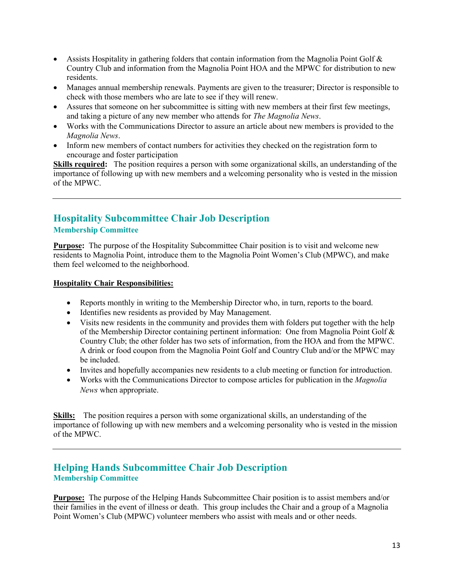- Assists Hospitality in gathering folders that contain information from the Magnolia Point Golf & Country Club and information from the Magnolia Point HOA and the MPWC for distribution to new residents.
- Manages annual membership renewals. Payments are given to the treasurer; Director is responsible to check with those members who are late to see if they will renew.
- Assures that someone on her subcommittee is sitting with new members at their first few meetings, and taking a picture of any new member who attends for *The Magnolia News*.
- Works with the Communications Director to assure an article about new members is provided to the *Magnolia News*.
- Inform new members of contact numbers for activities they checked on the registration form to encourage and foster participation

**Skills required:** The position requires a person with some organizational skills, an understanding of the importance of following up with new members and a welcoming personality who is vested in the mission of the MPWC.

## **Hospitality Subcommittee Chair Job Description Membership Committee**

**Purpose:** The purpose of the Hospitality Subcommittee Chair position is to visit and welcome new residents to Magnolia Point, introduce them to the Magnolia Point Women's Club (MPWC), and make them feel welcomed to the neighborhood.

#### **Hospitality Chair Responsibilities:**

- Reports monthly in writing to the Membership Director who, in turn, reports to the board.
- Identifies new residents as provided by May Management.
- Visits new residents in the community and provides them with folders put together with the help of the Membership Director containing pertinent information: One from Magnolia Point Golf & Country Club; the other folder has two sets of information, from the HOA and from the MPWC. A drink or food coupon from the Magnolia Point Golf and Country Club and/or the MPWC may be included.
- Invites and hopefully accompanies new residents to a club meeting or function for introduction.
- Works with the Communications Director to compose articles for publication in the *Magnolia News* when appropriate.

**Skills:** The position requires a person with some organizational skills, an understanding of the importance of following up with new members and a welcoming personality who is vested in the mission of the MPWC.

## **Helping Hands Subcommittee Chair Job Description Membership Committee**

**Purpose:** The purpose of the Helping Hands Subcommittee Chair position is to assist members and/or their families in the event of illness or death. This group includes the Chair and a group of a Magnolia Point Women's Club (MPWC) volunteer members who assist with meals and or other needs.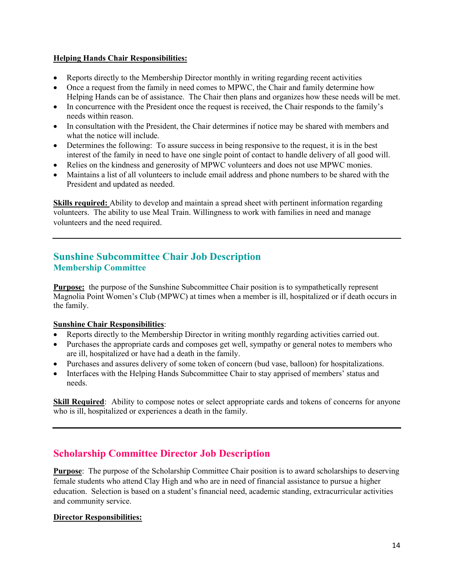#### **Helping Hands Chair Responsibilities:**

- Reports directly to the Membership Director monthly in writing regarding recent activities
- Once a request from the family in need comes to MPWC, the Chair and family determine how Helping Hands can be of assistance. The Chair then plans and organizes how these needs will be met.
- In concurrence with the President once the request is received, the Chair responds to the family's needs within reason.
- In consultation with the President, the Chair determines if notice may be shared with members and what the notice will include.
- Determines the following: To assure success in being responsive to the request, it is in the best interest of the family in need to have one single point of contact to handle delivery of all good will.
- Relies on the kindness and generosity of MPWC volunteers and does not use MPWC monies.
- Maintains a list of all volunteers to include email address and phone numbers to be shared with the President and updated as needed.

**Skills required:** Ability to develop and maintain a spread sheet with pertinent information regarding volunteers. The ability to use Meal Train. Willingness to work with families in need and manage volunteers and the need required.

## **Sunshine Subcommittee Chair Job Description Membership Committee**

**Purpose:** the purpose of the Sunshine Subcommittee Chair position is to sympathetically represent Magnolia Point Women's Club (MPWC) at times when a member is ill, hospitalized or if death occurs in the family.

## **Sunshine Chair Responsibilities**:

- Reports directly to the Membership Director in writing monthly regarding activities carried out.
- Purchases the appropriate cards and composes get well, sympathy or general notes to members who are ill, hospitalized or have had a death in the family.
- Purchases and assures delivery of some token of concern (bud vase, balloon) for hospitalizations.
- Interfaces with the Helping Hands Subcommittee Chair to stay apprised of members' status and needs.

**Skill Required:** Ability to compose notes or select appropriate cards and tokens of concerns for anyone who is ill, hospitalized or experiences a death in the family.

# **Scholarship Committee Director Job Description**

**Purpose**: The purpose of the Scholarship Committee Chair position is to award scholarships to deserving female students who attend Clay High and who are in need of financial assistance to pursue a higher education. Selection is based on a student's financial need, academic standing, extracurricular activities and community service.

## **Director Responsibilities:**